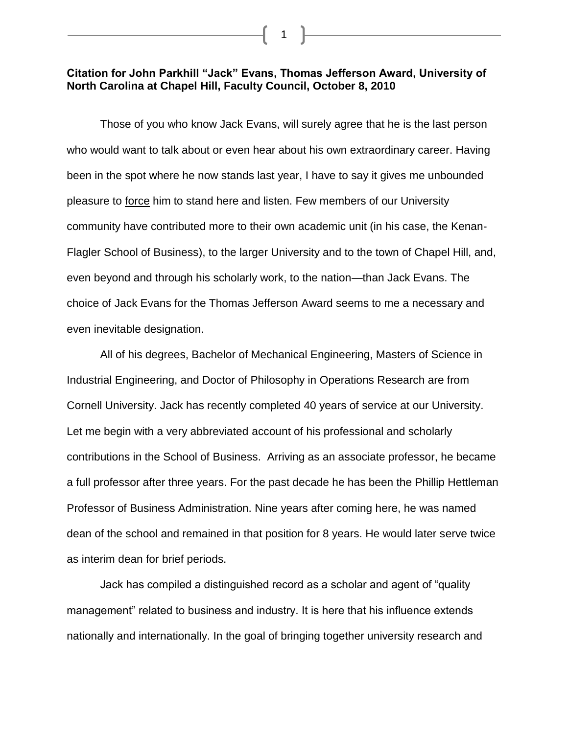## **Citation for John Parkhill "Jack" Evans, Thomas Jefferson Award, University of North Carolina at Chapel Hill, Faculty Council, October 8, 2010**

1

Those of you who know Jack Evans, will surely agree that he is the last person who would want to talk about or even hear about his own extraordinary career. Having been in the spot where he now stands last year, I have to say it gives me unbounded pleasure to force him to stand here and listen. Few members of our University community have contributed more to their own academic unit (in his case, the Kenan-Flagler School of Business), to the larger University and to the town of Chapel Hill, and, even beyond and through his scholarly work, to the nation—than Jack Evans. The choice of Jack Evans for the Thomas Jefferson Award seems to me a necessary and even inevitable designation.

All of his degrees, Bachelor of Mechanical Engineering, Masters of Science in Industrial Engineering, and Doctor of Philosophy in Operations Research are from Cornell University. Jack has recently completed 40 years of service at our University. Let me begin with a very abbreviated account of his professional and scholarly contributions in the School of Business. Arriving as an associate professor, he became a full professor after three years. For the past decade he has been the Phillip Hettleman Professor of Business Administration. Nine years after coming here, he was named dean of the school and remained in that position for 8 years. He would later serve twice as interim dean for brief periods.

Jack has compiled a distinguished record as a scholar and agent of "quality management" related to business and industry. It is here that his influence extends nationally and internationally. In the goal of bringing together university research and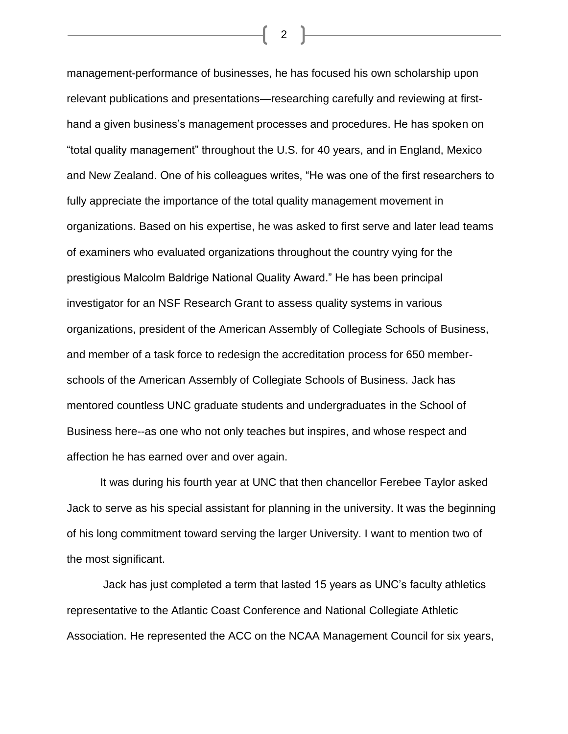management-performance of businesses, he has focused his own scholarship upon relevant publications and presentations—researching carefully and reviewing at firsthand a given business's management processes and procedures. He has spoken on "total quality management" throughout the U.S. for 40 years, and in England, Mexico and New Zealand. One of his colleagues writes, "He was one of the first researchers to fully appreciate the importance of the total quality management movement in organizations. Based on his expertise, he was asked to first serve and later lead teams of examiners who evaluated organizations throughout the country vying for the prestigious Malcolm Baldrige National Quality Award." He has been principal investigator for an NSF Research Grant to assess quality systems in various organizations, president of the American Assembly of Collegiate Schools of Business, and member of a task force to redesign the accreditation process for 650 memberschools of the American Assembly of Collegiate Schools of Business. Jack has mentored countless UNC graduate students and undergraduates in the School of Business here--as one who not only teaches but inspires, and whose respect and affection he has earned over and over again.

It was during his fourth year at UNC that then chancellor Ferebee Taylor asked Jack to serve as his special assistant for planning in the university. It was the beginning of his long commitment toward serving the larger University. I want to mention two of the most significant.

Jack has just completed a term that lasted 15 years as UNC's faculty athletics representative to the Atlantic Coast Conference and National Collegiate Athletic Association. He represented the ACC on the NCAA Management Council for six years,

2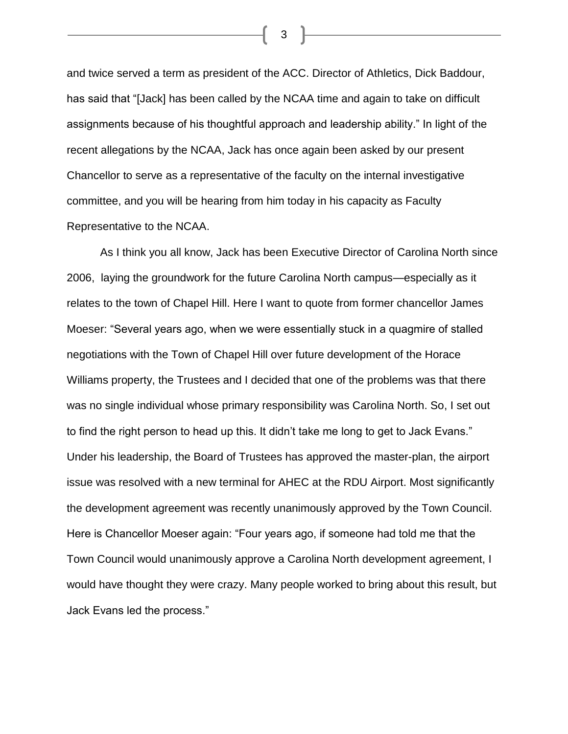and twice served a term as president of the ACC. Director of Athletics, Dick Baddour, has said that "[Jack] has been called by the NCAA time and again to take on difficult assignments because of his thoughtful approach and leadership ability." In light of the recent allegations by the NCAA, Jack has once again been asked by our present Chancellor to serve as a representative of the faculty on the internal investigative committee, and you will be hearing from him today in his capacity as Faculty Representative to the NCAA.

As I think you all know, Jack has been Executive Director of Carolina North since 2006, laying the groundwork for the future Carolina North campus—especially as it relates to the town of Chapel Hill. Here I want to quote from former chancellor James Moeser: "Several years ago, when we were essentially stuck in a quagmire of stalled negotiations with the Town of Chapel Hill over future development of the Horace Williams property, the Trustees and I decided that one of the problems was that there was no single individual whose primary responsibility was Carolina North. So, I set out to find the right person to head up this. It didn't take me long to get to Jack Evans." Under his leadership, the Board of Trustees has approved the master-plan, the airport issue was resolved with a new terminal for AHEC at the RDU Airport. Most significantly the development agreement was recently unanimously approved by the Town Council. Here is Chancellor Moeser again: "Four years ago, if someone had told me that the Town Council would unanimously approve a Carolina North development agreement, I would have thought they were crazy. Many people worked to bring about this result, but Jack Evans led the process."

3